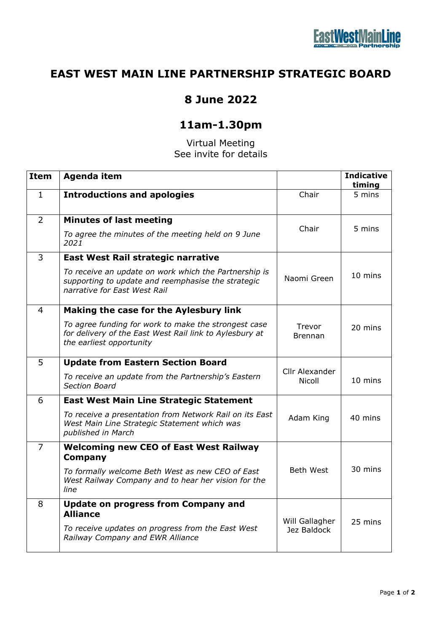## **EAST WEST MAIN LINE PARTNERSHIP STRATEGIC BOARD**

## **8 June 2022**

## **11am-1.30pm**

Virtual Meeting See invite for details

| <b>Item</b>    | <b>Agenda item</b>                                                                                                                          |                          | <b>Indicative</b><br>timing |
|----------------|---------------------------------------------------------------------------------------------------------------------------------------------|--------------------------|-----------------------------|
| $\mathbf{1}$   | <b>Introductions and apologies</b>                                                                                                          | Chair                    | 5 mins                      |
| 2              | <b>Minutes of last meeting</b><br>To agree the minutes of the meeting held on 9 June<br>2021                                                | Chair                    | 5 mins                      |
| 3              | East West Rail strategic narrative                                                                                                          |                          |                             |
|                | To receive an update on work which the Partnership is<br>supporting to update and reemphasise the strategic<br>narrative for East West Rail | Naomi Green              | 10 mins                     |
| 4              | Making the case for the Aylesbury link                                                                                                      |                          |                             |
|                | To agree funding for work to make the strongest case<br>for delivery of the East West Rail link to Aylesbury at<br>the earliest opportunity | Trevor<br>Brennan        | 20 mins                     |
| 5              | <b>Update from Eastern Section Board</b>                                                                                                    |                          |                             |
|                | To receive an update from the Partnership's Eastern<br><b>Section Board</b>                                                                 | Cllr Alexander<br>Nicoll | 10 mins                     |
| 6              | <b>East West Main Line Strategic Statement</b>                                                                                              |                          |                             |
|                | To receive a presentation from Network Rail on its East<br>West Main Line Strategic Statement which was<br>published in March               | Adam King                | 40 mins                     |
| $\overline{7}$ | <b>Welcoming new CEO of East West Railway</b><br><b>Company</b>                                                                             |                          |                             |
|                | To formally welcome Beth West as new CEO of East<br>West Railway Company and to hear her vision for the<br>line                             | <b>Beth West</b>         | 30 mins                     |
| 8              | <b>Update on progress from Company and</b><br><b>Alliance</b>                                                                               | Will Gallagher           |                             |
|                | To receive updates on progress from the East West<br>Railway Company and EWR Alliance                                                       | Jez Baldock              | 25 mins                     |